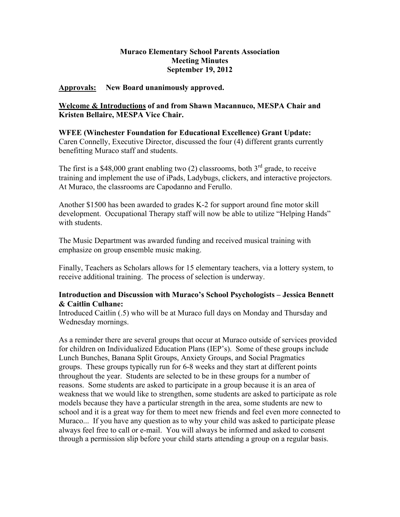# **Muraco Elementary School Parents Association Meeting Minutes September 19, 2012**

## **Approvals: New Board unanimously approved.**

# **Welcome & Introductions of and from Shawn Macannuco, MESPA Chair and Kristen Bellaire, MESPA Vice Chair.**

## **WFEE (Winchester Foundation for Educational Excellence) Grant Update:** Caren Connelly, Executive Director, discussed the four (4) different grants currently benefitting Muraco staff and students.

The first is a \$48,000 grant enabling two  $(2)$  classrooms, both  $3<sup>rd</sup>$  grade, to receive training and implement the use of iPads, Ladybugs, clickers, and interactive projectors. At Muraco, the classrooms are Capodanno and Ferullo.

Another \$1500 has been awarded to grades K-2 for support around fine motor skill development. Occupational Therapy staff will now be able to utilize "Helping Hands" with students.

The Music Department was awarded funding and received musical training with emphasize on group ensemble music making.

Finally, Teachers as Scholars allows for 15 elementary teachers, via a lottery system, to receive additional training. The process of selection is underway.

# **Introduction and Discussion with Muraco's School Psychologists – Jessica Bennett & Caitlin Culhane:**

Introduced Caitlin (.5) who will be at Muraco full days on Monday and Thursday and Wednesday mornings.

As a reminder there are several groups that occur at Muraco outside of services provided for children on Individualized Education Plans (IEP's). Some of these groups include Lunch Bunches, Banana Split Groups, Anxiety Groups, and Social Pragmatics groups. These groups typically run for 6-8 weeks and they start at different points throughout the year. Students are selected to be in these groups for a number of reasons. Some students are asked to participate in a group because it is an area of weakness that we would like to strengthen, some students are asked to participate as role models because they have a particular strength in the area, some students are new to school and it is a great way for them to meet new friends and feel even more connected to Muraco... If you have any question as to why your child was asked to participate please always feel free to call or e-mail. You will always be informed and asked to consent through a permission slip before your child starts attending a group on a regular basis.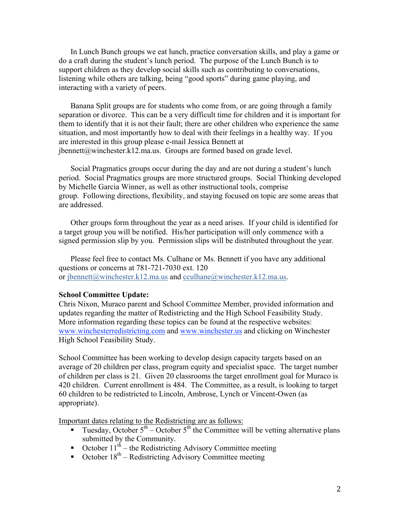In Lunch Bunch groups we eat lunch, practice conversation skills, and play a game or do a craft during the student's lunch period. The purpose of the Lunch Bunch is to support children as they develop social skills such as contributing to conversations, listening while others are talking, being "good sports" during game playing, and interacting with a variety of peers.

Banana Split groups are for students who come from, or are going through a family separation or divorce. This can be a very difficult time for children and it is important for them to identify that it is not their fault; there are other children who experience the same situation, and most importantly how to deal with their feelings in a healthy way. If you are interested in this group please e-mail Jessica Bennett at jbennett@winchester.k12.ma.us. Groups are formed based on grade level.

Social Pragmatics groups occur during the day and are not during a student's lunch period. Social Pragmatics groups are more structured groups. Social Thinking developed by Michelle Garcia Winner, as well as other instructional tools, comprise group. Following directions, flexibility, and staying focused on topic are some areas that are addressed.

Other groups form throughout the year as a need arises. If your child is identified for a target group you will be notified. His/her participation will only commence with a signed permission slip by you. Permission slips will be distributed throughout the year.

Please feel free to contact Ms. Culhane or Ms. Bennett if you have any additional questions or concerns at 781-721-7030 ext. 120 or ibennett@winchester.k12.ma.us and cculhane@winchester.k12.ma.us.

#### **School Committee Update:**

Chris Nixon, Muraco parent and School Committee Member, provided information and updates regarding the matter of Redistricting and the High School Feasibility Study. More information regarding these topics can be found at the respective websites: www.winchesterredistricting.com and www.winchester.us and clicking on Winchester High School Feasibility Study.

School Committee has been working to develop design capacity targets based on an average of 20 children per class, program equity and specialist space. The target number of children per class is 21. Given 20 classrooms the target enrollment goal for Muraco is 420 children. Current enrollment is 484. The Committee, as a result, is looking to target 60 children to be redistricted to Lincoln, Ambrose, Lynch or Vincent-Owen (as appropriate).

Important dates relating to the Redistricting are as follows:

- Tuesday, October  $5<sup>th</sup>$  October  $5<sup>th</sup>$  the Committee will be vetting alternative plans submitted by the Community.
- October  $11^{th}$  the Redistricting Advisory Committee meeting
- October  $18<sup>th</sup>$  Redistricting Advisory Committee meeting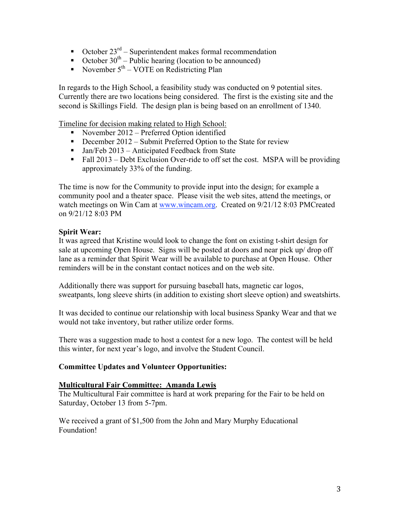- October  $23^{\text{rd}}$  Superintendent makes formal recommendation
- October  $30<sup>th</sup>$  Public hearing (location to be announced)
- November  $5<sup>th</sup> VOTE$  on Redistricting Plan

In regards to the High School, a feasibility study was conducted on 9 potential sites. Currently there are two locations being considered. The first is the existing site and the second is Skillings Field. The design plan is being based on an enrollment of 1340.

Timeline for decision making related to High School:

- November 2012 Preferred Option identified
- December 2012 Submit Preferred Option to the State for review
- $\blacksquare$  Jan/Feb 2013 Anticipated Feedback from State
- Fall  $2013$  Debt Exclusion Over-ride to off set the cost. MSPA will be providing approximately 33% of the funding.

The time is now for the Community to provide input into the design; for example a community pool and a theater space. Please visit the web sites, attend the meetings, or watch meetings on Win Cam at www.wincam.org. Created on 9/21/12 8:03 PMCreated on 9/21/12 8:03 PM

## **Spirit Wear:**

It was agreed that Kristine would look to change the font on existing t-shirt design for sale at upcoming Open House. Signs will be posted at doors and near pick up/ drop off lane as a reminder that Spirit Wear will be available to purchase at Open House. Other reminders will be in the constant contact notices and on the web site.

Additionally there was support for pursuing baseball hats, magnetic car logos, sweatpants, long sleeve shirts (in addition to existing short sleeve option) and sweatshirts.

It was decided to continue our relationship with local business Spanky Wear and that we would not take inventory, but rather utilize order forms.

There was a suggestion made to host a contest for a new logo. The contest will be held this winter, for next year's logo, and involve the Student Council.

## **Committee Updates and Volunteer Opportunities:**

#### **Multicultural Fair Committee: Amanda Lewis**

The Multicultural Fair committee is hard at work preparing for the Fair to be held on Saturday, October 13 from 5-7pm.

We received a grant of \$1,500 from the John and Mary Murphy Educational Foundation!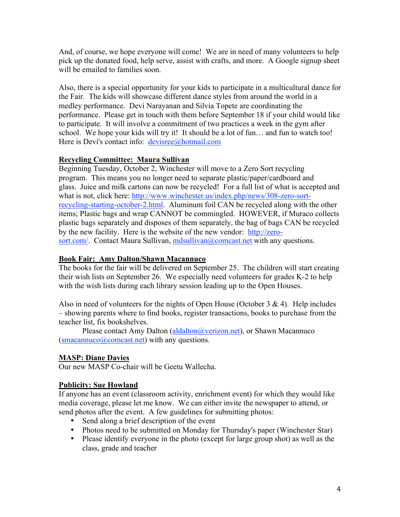And, of course, we hope everyone will come! We are in need of many volunteers to help pick up the donated food, help serve, assist with crafts, and more. A Google signup sheet will be emailed to families soon.

Also, there is a special opportunity for your kids to participate in a multicultural dance for the Fair. The kids will showcase different dance styles from around the world in a medley performance. Devi Narayanan and Silvia Topete are coordinating the performance. Please get in touch with them before September 18 if your child would like to participate. It will involve a commitment of two practices a week in the gym after school. We hope your kids will try it! It should be a lot of fun… and fun to watch too! Here is Devi's contact info: devisree@hotmail.com

# **Recycling Committee: Maura Sullivan**

Beginning Tuesday, October 2, Winchester will move to a Zero Sort recycling program. This means you no longer need to separate plastic/paper/cardboard and glass. Juice and milk cartons can now be recycled! For a full list of what is accepted and what is not, click here: http://www.winchester.us/index.php/news/308-zero-sortrecycling-starting-october-2.html. Aluminum foil CAN be recycled along with the other items; Plastic bags and wrap CANNOT be commingled. HOWEVER, if Muraco collects plastic bags separately and disposes of them separately, the bag of bags CAN be recycled by the new facility. Here is the website of the new vendor: http://zerosort.com/. Contact Maura Sullivan, mdsullivan@comcast.net with any questions.

# **Book Fair: Amy Dalton/Shawn Macannuco**

The books for the fair will be delivered on September 25. The children will start creating their wish lists on September 26. We especially need volunteers for grades K-2 to help with the wish lists during each library session leading up to the Open Houses.

Also in need of volunteers for the nights of Open House (October  $3 \& 4$ ). Help includes – showing parents where to find books, register transactions, books to purchase from the teacher list, fix bookshelves.

Please contact Amy Dalton (aldalton@verizon.net), or Shawn Macannuco  $(smacannuco@comcast.net)$  with any questions.

# **MASP: Diane Davies**

Our new MASP Co-chair will be Geetu Wallecha.

# **Publicity: Sue Howland**

If anyone has an event (classroom activity, enrichment event) for which they would like media coverage, please let me know. We can either invite the newspaper to attend, or send photos after the event. A few guidelines for submitting photos:

- Send along a brief description of the event
- Photos need to be submitted on Monday for Thursday's paper (Winchester Star)
- Please identify everyone in the photo (except for large group shot) as well as the class, grade and teacher